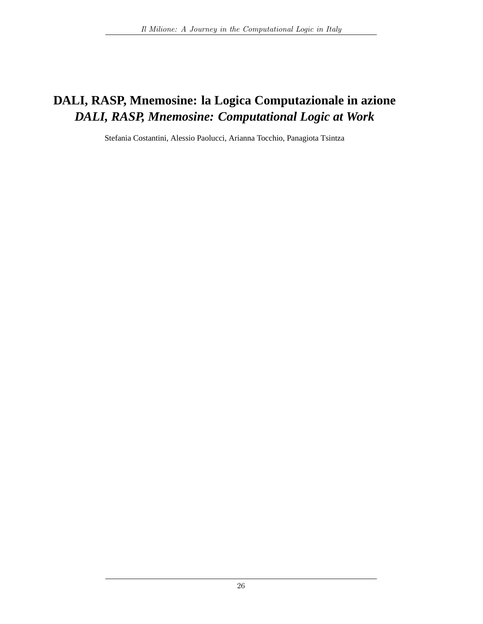# DALI, RASP, Mnemosine: la Logica Computazionale in azione DALI, RASP, Mnemosine: Computational Logic at Work

Stefania Costantini, Alessio Paolucci, Arianna Tocchio, Panagiota Tsintza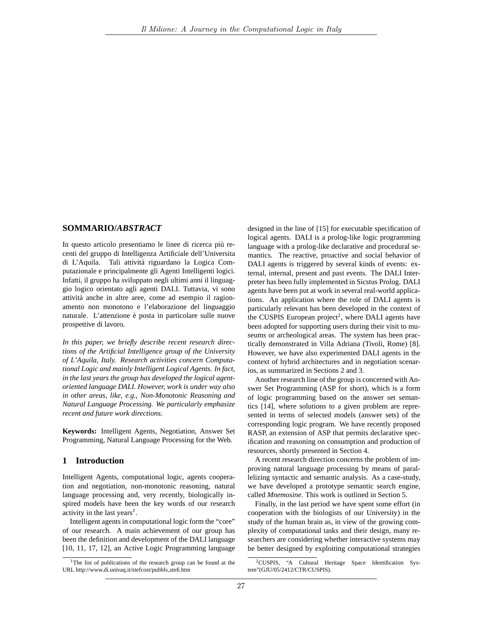### SOMMARIO/ABSTRACT

In questo articolo presentiamo le linee di ricerca più recenti del gruppo di Intelligenza Artificiale dell'Universita di L'Aquila. Tali attività riguardano la Logica Computazionale e principalmente gli Agenti Intelligenti logici. Infatti, il gruppo ha sviluppato negli ultimi anni il linguaggio logico orientato agli agenti DALI. Tuttavia, vi sono attività anche in altre aree, come ad esempio il ragionamento non monotono e l'elaborazione del linguaggio naturale. L'attenzione è posta in particolare sulle nuove prospettive di lavoro.

In this paper, we briefly describe recent research directions of the Artificial Intelligence group of the University of L'Aquila, Italy. Research activities concern Computational Logic and mainly Intelligent Logical Agents. In fact, in the last years the group has developed the logical agentoriented language DALI. However, work is under way also in other areas, like, e.g., Non-Monotonic Reasoning and Natural Language Processing. We particularly emphasize recent and future work directions.

Keywords: Intelligent Agents, Negotiation, Answer Set Programming, Natural Language Processing for the Web.

### 1 Introduction

Intelligent Agents, computational logic, agents cooperation and negotiation, non-monotonic reasoning, natural language processing and, very recently, biologically inspired models have been the key words of our research activity in the last years<sup>1</sup>.

Intelligent agents in computational logic form the "core" of our research. A main achievement of our group has been the definition and development of the DALI language [10, 11, 17, 12], an Active Logic Programming language designed in the line of [15] for executable specification of logical agents. DALI is a prolog-like logic programming language with a prolog-like declarative and procedural semantics. The reactive, proactive and social behavior of DALI agents is triggered by several kinds of events: external, internal, present and past events. The DALI Interpreter has been fully implemented in Sicstus Prolog. DALI agents have been put at work in several real-world applications. An application where the role of DALI agents is particularly relevant has been developed in the context of the CUSPIS European project<sup>2</sup>, where DALI agents have been adopted for supporting users during their visit to museums or archeological areas. The system has been practically demonstrated in Villa Adriana (Tivoli, Rome) [8]. However, we have also experimented DALI agents in the context of hybrid architectures and in negotiation scenarios, as summarized in Sections 2 and 3.

Another research line of the group is concerned with Answer Set Programming (ASP for short), which is a form of logic programming based on the answer set semantics [14], where solutions to a given problem are represented in terms of selected models (answer sets) of the corresponding logic program. We have recently proposed RASP, an extension of ASP that permits declarative specification and reasoning on consumption and production of resources, shortly presented in Section 4.

A recent research direction concerns the problem of improving natural language processing by means of parallelizing syntactic and semantic analysis. As a case-study, we have developed a prototype semantic search engine, called Mnemosine. This work is outlined in Section 5.

Finally, in the last period we have spent some effort (in cooperation with the biologists of our University) in the study of the human brain as, in view of the growing complexity of computational tasks and their design, many researchers are considering whether interactive systems may be better designed by exploiting computational strategies

<sup>&</sup>lt;sup>1</sup>The list of publications of the research group can be found at the URL http://www.di.univaq.it/stefcost/pubbls\_stefi.htm

<sup>&</sup>lt;sup>2</sup>CUSPIS, "A Cultural Heritage Space Identification System"(GJU/05/2412/CTR/CUSPIS).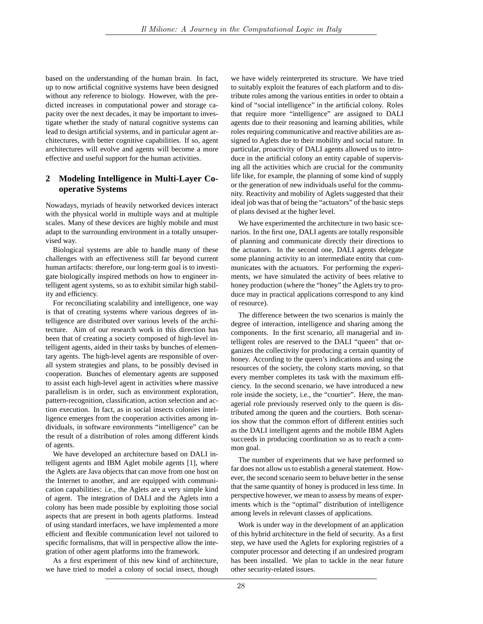based on the understanding of the human brain. In fact, up to now artificial cognitive systems have been designed without any reference to biology. However, with the predicted increases in computational power and storage capacity over the next decades, it may be important to investigate whether the study of natural cognitive systems can lead to design artificial systems, and in particular agent architectures, with better cognitive capabilities. If so, agent architectures will evolve and agents will become a more effective and useful support for the human activities.

### 2 Modeling Intelligence in Multi-Layer Co**operative Systems**

Nowadays, myriads of heavily networked devices interact with the physical world in multiple ways and at multiple scales. Many of these devices are highly mobile and must adapt to the surrounding environment in a totally unsupervised way.

Biological systems are able to handle many of these challenges with an effectiveness still far beyond current human artifacts: therefore, our long-term goal is to investigate biologically inspired methods on how to engineer intelligent agent systems, so as to exhibit similar high stability and efficiency.

For reconciliating scalability and intelligence, one way is that of creating systems where various degrees of intelligence are distributed over various levels of the architecture. Aim of our research work in this direction has been that of creating a society composed of high-level intelligent agents, aided in their tasks by bunches of elementary agents. The high-level agents are responsible of overall system strategies and plans, to be possibly devised in cooperation. Bunches of elementary agents are supposed to assist each high-level agent in activities where massive parallelism is in order, such as environment exploration, pattern-recognition, classification, action selection and action execution. In fact, as in social insects colonies intelligence emerges from the cooperation activities among individuals, in software environments "intelligence" can be the result of a distribution of roles among different kinds of agents.

We have developed an architecture based on DALI intelligent agents and IBM Aglet mobile agents [1], where the Aglets are Java objects that can move from one host on the Internet to another, and are equipped with communication capabilities: i.e., the Aglets are a very simple kind of agent. The integration of DALI and the Aglets into a colony has been made possible by exploiting those social aspects that are present in both agents platforms. Instead of using standard interfaces, we have implemented a more efficient and flexible communication level not tailored to specific formalisms, that will in perspective allow the integration of other agent platforms into the framework.

As a first experiment of this new kind of architecture, we have tried to model a colony of social insect, though

we have widely reinterpreted its structure. We have tried to suitably exploit the features of each platform and to distribute roles among the various entities in order to obtain a kind of "social intelligence" in the artificial colony. Roles that require more "intelligence" are assigned to DALI agents due to their reasoning and learning abilities, while roles requiring communicative and reactive abilities are assigned to Aglets due to their mobility and social nature. In particular, proactivity of DALI agents allowed us to introduce in the artificial colony an entity capable of supervising all the activities which are crucial for the community life like, for example, the planning of some kind of supply or the generation of new individuals useful for the community. Reactivity and mobility of Aglets suggested that their ideal job was that of being the "actuators" of the basic steps of plans devised at the higher level.

We have experimented the architecture in two basic scenarios. In the first one, DALI agents are totally responsible of planning and communicate directly their directions to the actuators. In the second one, DALI agents delegate some planning activity to an intermediate entity that communicates with the actuators. For performing the experiments, we have simulated the activity of bees relative to honey production (where the "honey" the Aglets try to produce may in practical applications correspond to any kind of resource).

The difference between the two scenarios is mainly the degree of interaction, intelligence and sharing among the components. In the first scenario, all managerial and intelligent roles are reserved to the DALI "queen" that organizes the collectivity for producing a certain quantity of honey. According to the queen's indications and using the resources of the society, the colony starts moving, so that every member completes its task with the maximum efficiency. In the second scenario, we have introduced a new role inside the society, i.e., the "courtier". Here, the managerial role previously reserved only to the queen is distributed among the queen and the courtiers. Both scenarios show that the common effort of different entities such as the DALI intelligent agents and the mobile IBM Aglets succeeds in producing coordination so as to reach a common goal.

The number of experiments that we have performed so far does not allow us to establish a general statement. However, the second scenario seem to behave better in the sense that the same quantity of honey is produced in less time. In perspective however, we mean to assess by means of experiments which is the "optimal" distribution of intelligence among levels in relevant classes of applications.

Work is under way in the development of an application of this hybrid architecture in the field of security. As a first step, we have used the Aglets for exploring registries of a computer processor and detecting if an undesired program has been installed. We plan to tackle in the near future other security-related issues.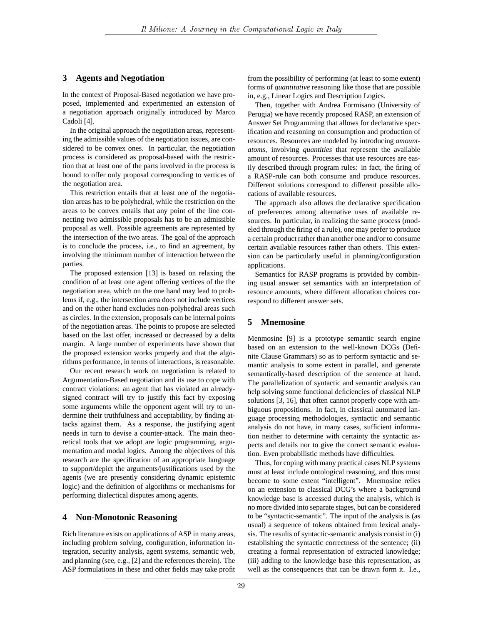### 3 Agents and Negotiation

In the context of Proposal-Based negotiation we have proposed, implemented and experimented an extension of a negotiation approach originally introduced by Marco Cadoli<sup>[4]</sup>.

In the original approach the negotiation areas, representing the admissible values of the negotiation issues, are considered to be convex ones. In particular, the negotiation process is considered as proposal-based with the restriction that at least one of the parts involved in the process is bound to offer only proposal corresponding to vertices of the negotiation area.

This restriction entails that at least one of the negotiation areas has to be polyhedral, while the restriction on the areas to be convex entails that any point of the line connecting two admissible proposals has to be an admissible proposal as well. Possible agreements are represented by the intersection of the two areas. The goal of the approach is to conclude the process, i.e., to find an agreement, by involving the minimum number of interaction between the parties.

The proposed extension [13] is based on relaxing the condition of at least one agent offering vertices of the the negotiation area, which on the one hand may lead to problems if, e.g., the intersection area does not include vertices and on the other hand excludes non-polyhedral areas such as circles. In the extension, proposals can be internal points of the negotiation areas. The points to propose are selected based on the last offer, increased or decreased by a delta margin. A large number of experiments have shown that the proposed extension works properly and that the algorithms performance, in terms of interactions, is reasonable.

Our recent research work on negotiation is related to Argumentation-Based negotiation and its use to cope with contract violations: an agent that has violated an alreadysigned contract will try to justify this fact by exposing some arguments while the opponent agent will try to undermine their truthfulness and acceptability, by finding attacks against them. As a response, the justifying agent needs in turn to devise a counter-attack. The main theoretical tools that we adopt are logic programming, argumentation and modal logics. Among the objectives of this research are the specification of an appropriate language to support/depict the arguments/justifications used by the agents (we are presently considering dynamic epistemic logic) and the definition of algorithms or mechanisms for performing dialectical disputes among agents.

#### 4 **Non-Monotonic Reasoning**

Rich literature exists on applications of ASP in many areas, including problem solving, configuration, information integration, security analysis, agent systems, semantic web, and planning (see, e.g., [2] and the references therein). The ASP formulations in these and other fields may take profit from the possibility of performing (at least to some extent) forms of quantitative reasoning like those that are possible in, e.g., Linear Logics and Description Logics.

Then, together with Andrea Formisano (University of Perugia) we have recently proposed RASP, an extension of Answer Set Programming that allows for declarative specification and reasoning on consumption and production of resources. Resources are modeled by introducing amount*atoms*, involving *quantities* that represent the available amount of resources. Processes that use resources are easily described through program rules: in fact, the firing of a RASP-rule can both consume and produce resources. Different solutions correspond to different possible allocations of available resources.

The approach also allows the declarative specification of preferences among alternative uses of available resources. In particular, in realizing the same process (modeled through the firing of a rule), one may prefer to produce a certain product rather than another one and/or to consume certain available resources rather than others. This extension can be particularly useful in planning/configuration applications.

Semantics for RASP programs is provided by combining usual answer set semantics with an interpretation of resource amounts, where different allocation choices correspond to different answer sets.

#### 5. **Mnemosine**

Menmosine [9] is a prototype semantic search engine based on an extension to the well-known DCGs (Definite Clause Grammars) so as to perform syntactic and semantic analysis to some extent in parallel, and generate semantically-based description of the sentence at hand. The parallelization of syntactic and semantic analysis can help solving some functional deficiencies of classical NLP solutions [3, 16], that often cannot properly cope with ambiguous propositions. In fact, in classical automated language processing methodologies, syntactic and semantic analysis do not have, in many cases, sufficient information neither to determine with certainty the syntactic aspects and details nor to give the correct semantic evaluation. Even probabilistic methods have difficulties.

Thus, for coping with many practical cases NLP systems must at least include ontological reasoning, and thus must become to some extent "intelligent". Mnemosine relies on an extension to classical DCG's where a background knowledge base is accessed during the analysis, which is no more divided into separate stages, but can be considered to be "syntactic-semantic". The input of the analysis is (as usual) a sequence of tokens obtained from lexical analysis. The results of syntactic-semantic analysis consist in (i) establishing the syntactic correctness of the sentence; (ii) creating a formal representation of extracted knowledge; (iii) adding to the knowledge base this representation, as well as the consequences that can be drawn form it. I.e.,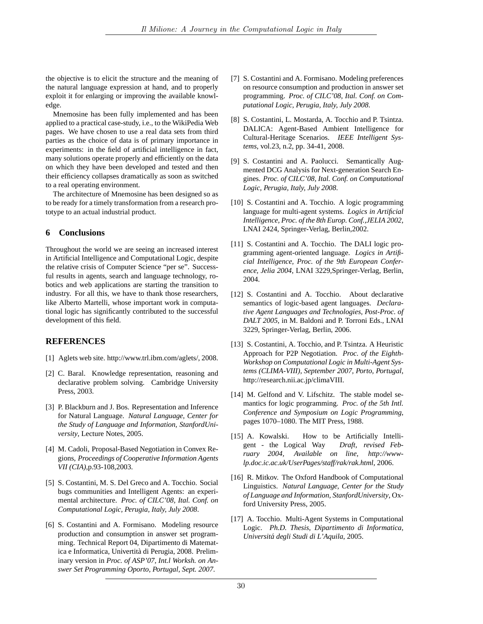the objective is to elicit the structure and the meaning of the natural language expression at hand, and to properly exploit it for enlarging or improving the available knowledge.

Mnemosine has been fully implemented and has been applied to a practical case-study, i.e., to the WikiPedia Web pages. We have chosen to use a real data sets from third parties as the choice of data is of primary importance in experiments: in the field of artificial intelligence in fact, many solutions operate properly and efficiently on the data on which they have been developed and tested and then their efficiency collapses dramatically as soon as switched to a real operating environment.

The architecture of Mnemosine has been designed so as to be ready for a timely transformation from a research prototype to an actual industrial product.

#### 6 **Conclusions**

Throughout the world we are seeing an increased interest in Artificial Intelligence and Computational Logic, despite the relative crisis of Computer Science "per se". Successful results in agents, search and language technology, robotics and web applications are starting the transition to industry. For all this, we have to thank those researchers, like Alberto Martelli, whose important work in computational logic has significantly contributed to the successful development of this field.

# **REFERENCES**

- [1] Aglets web site. http://www.trl.ibm.com/aglets/, 2008.
- [2] C. Baral. Knowledge representation, reasoning and declarative problem solving. Cambridge University Press, 2003.
- [3] P. Blackburn and J. Bos. Representation and Inference for Natural Language. Natural Language, Center for the Study of Language and Information, StanfordUniversity, Lecture Notes, 2005.
- [4] M. Cadoli, Proposal-Based Negotiation in Convex Regions, Proceedings of Cooperative Information Agents VII (CIA), p.93-108, 2003.
- [5] S. Costantini, M. S. Del Greco and A. Tocchio. Social bugs communities and Intelligent Agents: an experimental architecture. Proc. of CILC'08, Ital. Conf. on Computational Logic, Perugia, Italy, July 2008.
- [6] S. Costantini and A. Formisano. Modeling resource production and consumption in answer set programming. Technical Report 04, Dipartimento di Matematica e Informatica, Univertità di Perugia, 2008. Preliminary version in Proc. of ASP'07, Int.l Worksh. on Answer Set Programming Oporto, Portugal, Sept. 2007.
- [7] S. Costantini and A. Formisano. Modeling preferences on resource consumption and production in answer set programming. Proc. of CILC'08, Ital. Conf. on Computational Logic, Perugia, Italy, July 2008.
- [8] S. Costantini, L. Mostarda, A. Tocchio and P. Tsintza. DALICA: Agent-Based Ambient Intelligence for Cultural-Heritage Scenarios. IEEE Intelligent Systems, vol.23, n.2, pp. 34-41, 2008.
- [9] S. Costantini and A. Paolucci. Semantically Augmented DCG Analysis for Next-generation Search Engines. Proc. of CILC'08, Ital. Conf. on Computational Logic, Perugia, Italy, July 2008.
- [10] S. Costantini and A. Tocchio. A logic programming language for multi-agent systems. Logics in Artificial Intelligence, Proc. of the 8th Europ. Conf., JELIA 2002, LNAI 2424, Springer-Verlag, Berlin, 2002.
- [11] S. Costantini and A. Tocchio. The DALI logic programming agent-oriented language. Logics in Artificial Intelligence, Proc. of the 9th European Conference, Jelia 2004, LNAI 3229, Springer-Verlag, Berlin, 2004.
- [12] S. Costantini and A. Tocchio. About declarative semantics of logic-based agent languages. Declarative Agent Languages and Technologies, Post-Proc. of DALT 2005, in M. Baldoni and P. Torroni Eds., LNAI 3229, Springer-Verlag, Berlin, 2006.
- [13] S. Costantini, A. Tocchio, and P. Tsintza. A Heuristic Approach for P2P Negotiation. Proc. of the Eighth-Workshop on Computational Logic in Multi-Agent Systems (CLIMA-VIII), September 2007, Porto, Portugal, http://research.nii.ac.jp/climaVIII.
- [14] M. Gelfond and V. Lifschitz. The stable model semantics for logic programming. Proc. of the 5th Intl. Conference and Symposium on Logic Programming, pages 1070–1080. The MIT Press, 1988.
- [15] A. Kowalski. How to be Artificially Intelligent - the Logical Way Draft, revised February  $2004$ , Available on line, http://wwwlp.doc.ic.ac.uk/UserPages/staff/rak/rak.html, 2006.
- [16] R. Mitkov. The Oxford Handbook of Computational Linguistics. Natural Language, Center for the Study of Language and Information, StanfordUniversity, Oxford University Press, 2005.
- [17] A. Tocchio. Multi-Agent Systems in Computational Logic. Ph.D. Thesis, Dipartimento di Informatica, Universitá degli Studi di L'Aquila, 2005.